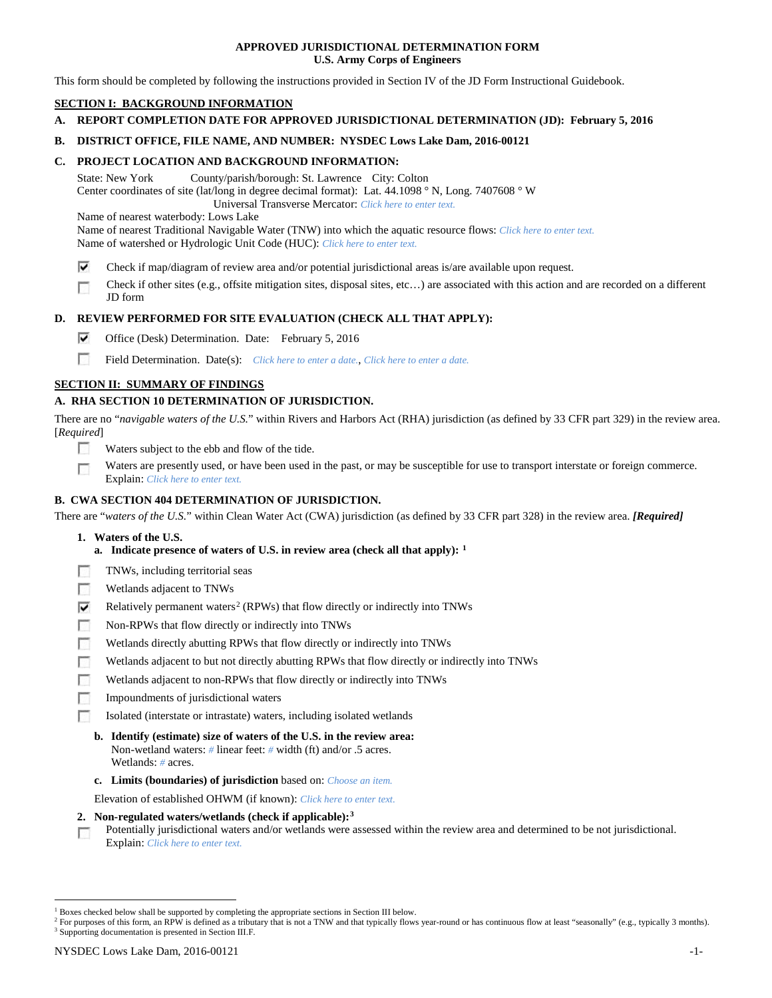## **APPROVED JURISDICTIONAL DETERMINATION FORM U.S. Army Corps of Engineers**

This form should be completed by following the instructions provided in Section IV of the JD Form Instructional Guidebook.

# **SECTION I: BACKGROUND INFORMATION**

**A. REPORT COMPLETION DATE FOR APPROVED JURISDICTIONAL DETERMINATION (JD): February 5, 2016**

## **B. DISTRICT OFFICE, FILE NAME, AND NUMBER: NYSDEC Lows Lake Dam, 2016-00121**

## **C. PROJECT LOCATION AND BACKGROUND INFORMATION:**

State: New York County/parish/borough: St. Lawrence City: Colton Center coordinates of site (lat/long in degree decimal format): Lat. 44.1098 ° N, Long. 7407608 ° W Universal Transverse Mercator: *Click here to enter text.*

Name of nearest waterbody: Lows Lake

Name of nearest Traditional Navigable Water (TNW) into which the aquatic resource flows: *Click here to enter text.*

Name of watershed or Hydrologic Unit Code (HUC): *Click here to enter text.*

- ⊽ Check if map/diagram of review area and/or potential jurisdictional areas is/are available upon request.
- Check if other sites (e.g., offsite mitigation sites, disposal sites, etc…) are associated with this action and are recorded on a different г JD form

## **D. REVIEW PERFORMED FOR SITE EVALUATION (CHECK ALL THAT APPLY):**

- ⊽ Office (Desk) Determination. Date: February 5, 2016
- m Field Determination. Date(s): *Click here to enter a date.*, *Click here to enter a date.*

## **SECTION II: SUMMARY OF FINDINGS**

# **A. RHA SECTION 10 DETERMINATION OF JURISDICTION.**

There are no "*navigable waters of the U.S.*" within Rivers and Harbors Act (RHA) jurisdiction (as defined by 33 CFR part 329) in the review area. [*Required*]

- n Waters subject to the ebb and flow of the tide.
- Waters are presently used, or have been used in the past, or may be susceptible for use to transport interstate or foreign commerce. п Explain: *Click here to enter text.*

## **B. CWA SECTION 404 DETERMINATION OF JURISDICTION.**

There are "*waters of the U.S.*" within Clean Water Act (CWA) jurisdiction (as defined by 33 CFR part 328) in the review area. *[Required]*

- **1. Waters of the U.S.**
	- **a. Indicate presence of waters of U.S. in review area (check all that apply): [1](#page-0-0)**
- Е TNWs, including territorial seas
- п Wetlands adjacent to TNWs
- Relatively permanent waters<sup>[2](#page-0-1)</sup> (RPWs) that flow directly or indirectly into TNWs ⊽
- г Non-RPWs that flow directly or indirectly into TNWs
- п Wetlands directly abutting RPWs that flow directly or indirectly into TNWs
- Wetlands adjacent to but not directly abutting RPWs that flow directly or indirectly into TNWs г
- Wetlands adjacent to non-RPWs that flow directly or indirectly into TNWs г
- п Impoundments of jurisdictional waters
- Isolated (interstate or intrastate) waters, including isolated wetlands n.
	- **b. Identify (estimate) size of waters of the U.S. in the review area:** Non-wetland waters: *#* linear feet: *#* width (ft) and/or .5 acres. Wetlands: *#* acres.
	- **c. Limits (boundaries) of jurisdiction** based on: *Choose an item.*

Elevation of established OHWM (if known): *Click here to enter text.*

- **2. Non-regulated waters/wetlands (check if applicable):[3](#page-0-2)**
- Potentially jurisdictional waters and/or wetlands were assessed within the review area and determined to be not jurisdictional. п Explain: *Click here to enter text.*

<span id="page-0-0"></span> <sup>1</sup> Boxes checked below shall be supported by completing the appropriate sections in Section III below.

<span id="page-0-2"></span><span id="page-0-1"></span><sup>&</sup>lt;sup>2</sup> For purposes of this form, an RPW is defined as a tributary that is not a TNW and that typically flows year-round or has continuous flow at least "seasonally" (e.g., typically 3 months). <sup>3</sup> Supporting documentation is presented in Section III.F.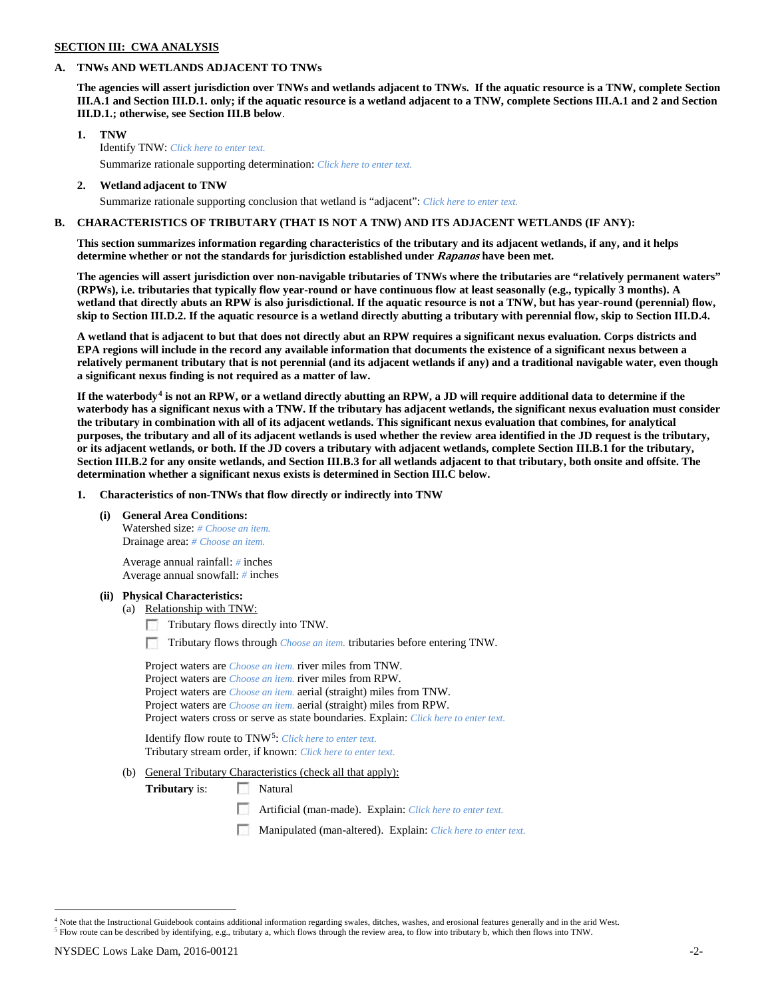# **SECTION III: CWA ANALYSIS**

### **A. TNWs AND WETLANDS ADJACENT TO TNWs**

**The agencies will assert jurisdiction over TNWs and wetlands adjacent to TNWs. If the aquatic resource is a TNW, complete Section III.A.1 and Section III.D.1. only; if the aquatic resource is a wetland adjacent to a TNW, complete Sections III.A.1 and 2 and Section III.D.1.; otherwise, see Section III.B below**.

- **1. TNW**  Identify TNW: *Click here to enter text.*
	- Summarize rationale supporting determination: *Click here to enter text.*
- **2. Wetland adjacent to TNW** Summarize rationale supporting conclusion that wetland is "adjacent": *Click here to enter text.*

## **B. CHARACTERISTICS OF TRIBUTARY (THAT IS NOT A TNW) AND ITS ADJACENT WETLANDS (IF ANY):**

**This section summarizes information regarding characteristics of the tributary and its adjacent wetlands, if any, and it helps determine whether or not the standards for jurisdiction established under Rapanos have been met.** 

**The agencies will assert jurisdiction over non-navigable tributaries of TNWs where the tributaries are "relatively permanent waters" (RPWs), i.e. tributaries that typically flow year-round or have continuous flow at least seasonally (e.g., typically 3 months). A wetland that directly abuts an RPW is also jurisdictional. If the aquatic resource is not a TNW, but has year-round (perennial) flow, skip to Section III.D.2. If the aquatic resource is a wetland directly abutting a tributary with perennial flow, skip to Section III.D.4.**

**A wetland that is adjacent to but that does not directly abut an RPW requires a significant nexus evaluation. Corps districts and EPA regions will include in the record any available information that documents the existence of a significant nexus between a relatively permanent tributary that is not perennial (and its adjacent wetlands if any) and a traditional navigable water, even though a significant nexus finding is not required as a matter of law.**

**If the waterbody[4](#page-1-0) is not an RPW, or a wetland directly abutting an RPW, a JD will require additional data to determine if the waterbody has a significant nexus with a TNW. If the tributary has adjacent wetlands, the significant nexus evaluation must consider the tributary in combination with all of its adjacent wetlands. This significant nexus evaluation that combines, for analytical purposes, the tributary and all of its adjacent wetlands is used whether the review area identified in the JD request is the tributary, or its adjacent wetlands, or both. If the JD covers a tributary with adjacent wetlands, complete Section III.B.1 for the tributary, Section III.B.2 for any onsite wetlands, and Section III.B.3 for all wetlands adjacent to that tributary, both onsite and offsite. The determination whether a significant nexus exists is determined in Section III.C below.**

**1. Characteristics of non-TNWs that flow directly or indirectly into TNW**

**(i) General Area Conditions:**

Watershed size: *# Choose an item.* Drainage area: *# Choose an item.*

Average annual rainfall: *#* inches Average annual snowfall: *#* inches

### **(ii) Physical Characteristics:**

- (a) Relationship with TNW:
	- Tributary flows directly into TNW.

n Tributary flows through *Choose an item.* tributaries before entering TNW.

Project waters are *Choose an item.* river miles from TNW. Project waters are *Choose an item.* river miles from RPW. Project waters are *Choose an item.* aerial (straight) miles from TNW. Project waters are *Choose an item.* aerial (straight) miles from RPW. Project waters cross or serve as state boundaries. Explain: *Click here to enter text.*

Identify flow route to TNW[5:](#page-1-1) *Click here to enter text.* Tributary stream order, if known: *Click here to enter text.*

(b) General Tributary Characteristics (check all that apply):

**Tributary** is: Natural

- Artificial (man-made). Explain: *Click here to enter text.*
- Manipulated (man-altered). Explain: *Click here to enter text.*

<span id="page-1-1"></span><span id="page-1-0"></span><sup>&</sup>lt;sup>4</sup> Note that the Instructional Guidebook contains additional information regarding swales, ditches, washes, and erosional features generally and in the arid West. <sup>5</sup> Flow route can be described by identifying, e.g., tributary a, which flows through the review area, to flow into tributary b, which then flows into TNW.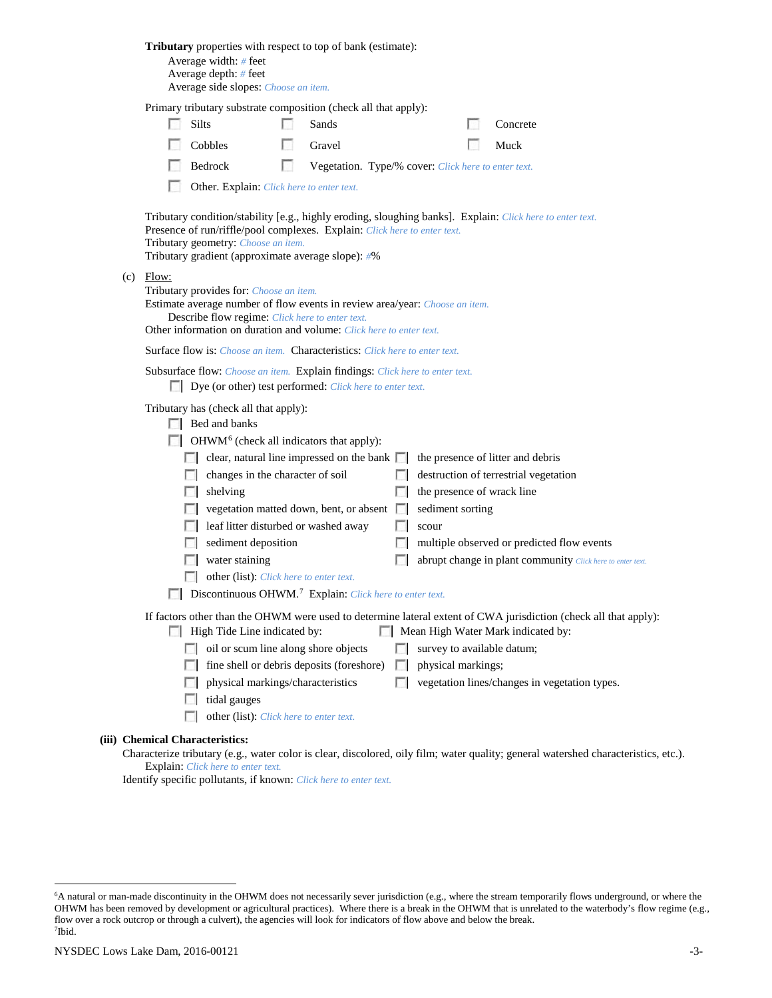|                                                                                                                                                                                        |                                                                                                                       |       | <b>Tributary</b> properties with respect to top of bank (estimate):<br>Average width: # feet<br>Average depth: # feet<br>Average side slopes: Choose an item.                                                     |     |                                                     |                      |                                                |  |                                                                                                                                     |
|----------------------------------------------------------------------------------------------------------------------------------------------------------------------------------------|-----------------------------------------------------------------------------------------------------------------------|-------|-------------------------------------------------------------------------------------------------------------------------------------------------------------------------------------------------------------------|-----|-----------------------------------------------------|----------------------|------------------------------------------------|--|-------------------------------------------------------------------------------------------------------------------------------------|
|                                                                                                                                                                                        |                                                                                                                       |       | Primary tributary substrate composition (check all that apply):                                                                                                                                                   |     |                                                     |                      |                                                |  |                                                                                                                                     |
|                                                                                                                                                                                        |                                                                                                                       |       | Silts                                                                                                                                                                                                             |     | Sands                                               |                      |                                                |  | Concrete                                                                                                                            |
|                                                                                                                                                                                        |                                                                                                                       |       | Cobbles                                                                                                                                                                                                           |     | Gravel                                              |                      |                                                |  | Muck                                                                                                                                |
|                                                                                                                                                                                        |                                                                                                                       |       | Bedrock                                                                                                                                                                                                           | LS. | Vegetation. Type/% cover: Click here to enter text. |                      |                                                |  |                                                                                                                                     |
|                                                                                                                                                                                        |                                                                                                                       |       | Other. Explain: Click here to enter text.                                                                                                                                                                         |     |                                                     |                      |                                                |  |                                                                                                                                     |
|                                                                                                                                                                                        | (c)                                                                                                                   | Flow: | Presence of run/riffle/pool complexes. Explain: Click here to enter text.<br>Tributary geometry: Choose an item.<br>Tributary gradient (approximate average slope): #%<br>Tributary provides for: Choose an item. |     |                                                     |                      |                                                |  | Tributary condition/stability [e.g., highly eroding, sloughing banks]. Explain: Click here to enter text.                           |
|                                                                                                                                                                                        |                                                                                                                       |       | Estimate average number of flow events in review area/year: Choose an item.<br>Describe flow regime: Click here to enter text.<br>Other information on duration and volume: Click here to enter text.             |     |                                                     |                      |                                                |  |                                                                                                                                     |
|                                                                                                                                                                                        |                                                                                                                       |       | <b>Surface flow is:</b> Choose an item. <b>Characteristics:</b> Click here to enter text.                                                                                                                         |     |                                                     |                      |                                                |  |                                                                                                                                     |
|                                                                                                                                                                                        |                                                                                                                       |       | Subsurface flow: Choose an item. Explain findings: Click here to enter text.<br>Dye (or other) test performed: Click here to enter text.                                                                          |     |                                                     |                      |                                                |  |                                                                                                                                     |
|                                                                                                                                                                                        | Tributary has (check all that apply):<br>Bed and banks<br>$\Box$ OHWM <sup>6</sup> (check all indicators that apply): |       |                                                                                                                                                                                                                   |     |                                                     |                      |                                                |  |                                                                                                                                     |
|                                                                                                                                                                                        |                                                                                                                       |       | $\Box$ clear, natural line impressed on the bank $\Box$                                                                                                                                                           |     |                                                     |                      |                                                |  | the presence of litter and debris                                                                                                   |
|                                                                                                                                                                                        |                                                                                                                       |       | changes in the character of soil<br><b>1000</b>                                                                                                                                                                   |     |                                                     | <b>ISBN</b>          |                                                |  | destruction of terrestrial vegetation                                                                                               |
|                                                                                                                                                                                        |                                                                                                                       |       | shelving<br>L.                                                                                                                                                                                                    |     | vegetation matted down, bent, or absent             | L.<br><b>In the </b> | the presence of wrack line<br>sediment sorting |  |                                                                                                                                     |
|                                                                                                                                                                                        |                                                                                                                       |       | leaf litter disturbed or washed away                                                                                                                                                                              |     |                                                     | F 1                  | scour                                          |  |                                                                                                                                     |
|                                                                                                                                                                                        |                                                                                                                       |       | sediment deposition                                                                                                                                                                                               |     |                                                     | ш                    |                                                |  | multiple observed or predicted flow events                                                                                          |
|                                                                                                                                                                                        |                                                                                                                       |       | water staining                                                                                                                                                                                                    |     |                                                     |                      |                                                |  | abrupt change in plant community Click here to enter text.                                                                          |
|                                                                                                                                                                                        |                                                                                                                       |       | other (list): Click here to enter text.                                                                                                                                                                           |     |                                                     |                      |                                                |  |                                                                                                                                     |
|                                                                                                                                                                                        |                                                                                                                       |       | <b>Discontinuous OHWM.</b> <sup>7</sup> Explain: Click here to enter text.                                                                                                                                        |     |                                                     |                      |                                                |  |                                                                                                                                     |
| If factors other than the OHWM were used to determine lateral extent of CWA jurisdiction (check all that apply):<br>High Tide Line indicated by:<br>Mean High Water Mark indicated by: |                                                                                                                       |       |                                                                                                                                                                                                                   |     |                                                     |                      |                                                |  |                                                                                                                                     |
|                                                                                                                                                                                        |                                                                                                                       |       | oil or scum line along shore objects<br><b>COLLEGE</b>                                                                                                                                                            |     |                                                     | FН                   | survey to available datum;                     |  |                                                                                                                                     |
|                                                                                                                                                                                        |                                                                                                                       |       |                                                                                                                                                                                                                   |     | fine shell or debris deposits (foreshore)           | $\mathbb{R}^n$       | physical markings;                             |  |                                                                                                                                     |
|                                                                                                                                                                                        |                                                                                                                       |       | physical markings/characteristics                                                                                                                                                                                 |     |                                                     | n                    |                                                |  | vegetation lines/changes in vegetation types.                                                                                       |
|                                                                                                                                                                                        |                                                                                                                       |       | tidal gauges                                                                                                                                                                                                      |     |                                                     |                      |                                                |  |                                                                                                                                     |
|                                                                                                                                                                                        |                                                                                                                       |       | other (list): Click here to enter text.                                                                                                                                                                           |     |                                                     |                      |                                                |  |                                                                                                                                     |
|                                                                                                                                                                                        |                                                                                                                       |       | (iii) Chemical Characteristics:                                                                                                                                                                                   |     |                                                     |                      |                                                |  | Characterize tributary (e.g., water color is clear, discolored, oily film; water quality; general watershed characteristics, etc.). |
|                                                                                                                                                                                        |                                                                                                                       |       | Explain: Click here to enter text.                                                                                                                                                                                |     |                                                     |                      |                                                |  |                                                                                                                                     |

Identify specific pollutants, if known: *Click here to enter text.*

<span id="page-2-1"></span><span id="page-2-0"></span> <sup>6</sup> <sup>6</sup>A natural or man-made discontinuity in the OHWM does not necessarily sever jurisdiction (e.g., where the stream temporarily flows underground, or where the OHWM has been removed by development or agricultural practices). Where there is a break in the OHWM that is unrelated to the waterbody's flow regime (e.g., flow over a rock outcrop or through a culvert), the agencies will look for indicators of flow above and below the break. 7 Ibid.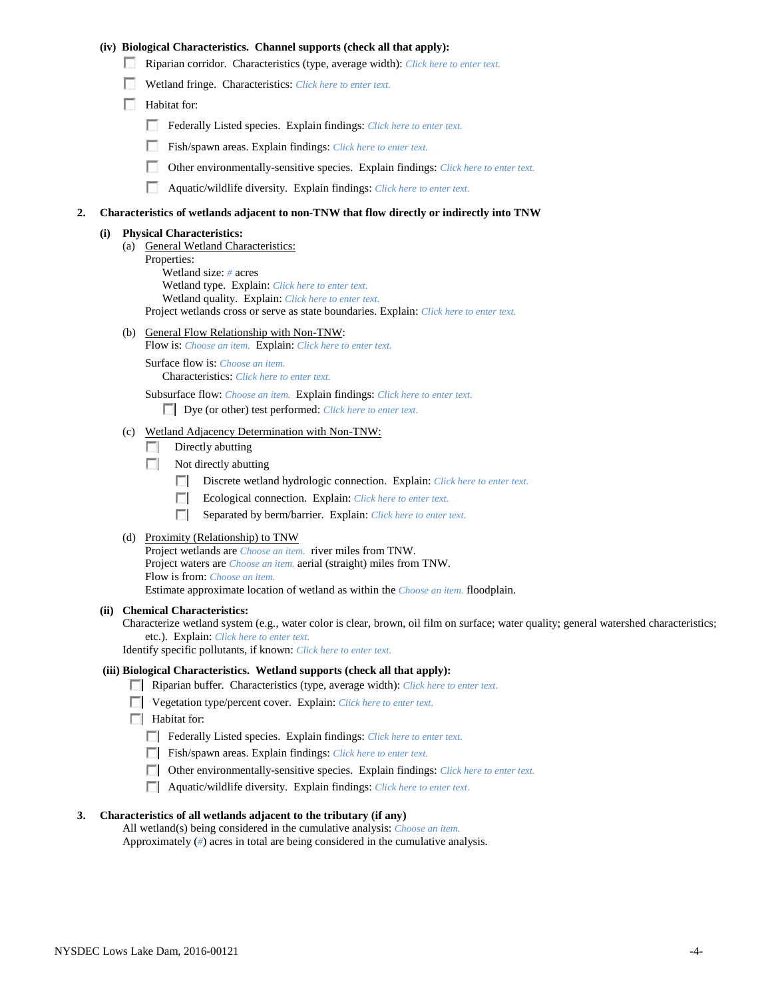## **(iv) Biological Characteristics. Channel supports (check all that apply):**

- Riparian corridor. Characteristics (type, average width): *Click here to enter text.*
- Wetland fringe. Characteristics: *Click here to enter text.*
- Habitat for:
	- Federally Listed species. Explain findings: *Click here to enter text.*
	- Fish/spawn areas. Explain findings: *Click here to enter text.*
	- Other environmentally-sensitive species. Explain findings: *Click here to enter text.*
	- г. Aquatic/wildlife diversity. Explain findings: *Click here to enter text.*

#### **2. Characteristics of wetlands adjacent to non-TNW that flow directly or indirectly into TNW**

#### **(i) Physical Characteristics:**

- (a) General Wetland Characteristics:
	- Properties:

Wetland size: *#* acres Wetland type. Explain: *Click here to enter text.*

Wetland quality. Explain: *Click here to enter text.*

Project wetlands cross or serve as state boundaries. Explain: *Click here to enter text.*

(b) General Flow Relationship with Non-TNW: Flow is: *Choose an item.* Explain: *Click here to enter text.*

Surface flow is: *Choose an item.* Characteristics: *Click here to enter text.*

Subsurface flow: *Choose an item.* Explain findings: *Click here to enter text.*

Dye (or other) test performed: *Click here to enter text.*

#### (c) Wetland Adjacency Determination with Non-TNW:

- $\Box$  Directly abutting
- Not directly abutting
	- 100 Discrete wetland hydrologic connection. Explain: *Click here to enter text.*
	- Ecological connection. Explain: *Click here to enter text.* **The Company**
	- $\sim$ Separated by berm/barrier. Explain: *Click here to enter text.*
- (d) Proximity (Relationship) to TNW

Project wetlands are *Choose an item.* river miles from TNW. Project waters are *Choose an item.* aerial (straight) miles from TNW. Flow is from: *Choose an item.* Estimate approximate location of wetland as within the *Choose an item.* floodplain.

#### **(ii) Chemical Characteristics:**

Characterize wetland system (e.g., water color is clear, brown, oil film on surface; water quality; general watershed characteristics; etc.). Explain: *Click here to enter text.*

Identify specific pollutants, if known: *Click here to enter text.*

#### **(iii) Biological Characteristics. Wetland supports (check all that apply):**

- Riparian buffer. Characteristics (type, average width): *Click here to enter text.*
- Vegetation type/percent cover. Explain: *Click here to enter text.*
- $\Box$  Habitat for:
	- Federally Listed species. Explain findings: *Click here to enter text*.
	- Fish/spawn areas. Explain findings: *Click here to enter text*.
	- Other environmentally-sensitive species. Explain findings: *Click here to enter text.*
	- Aquatic/wildlife diversity. Explain findings: *Click here to enter text.*

#### **3. Characteristics of all wetlands adjacent to the tributary (if any)**

All wetland(s) being considered in the cumulative analysis: *Choose an item.* Approximately (*#*) acres in total are being considered in the cumulative analysis.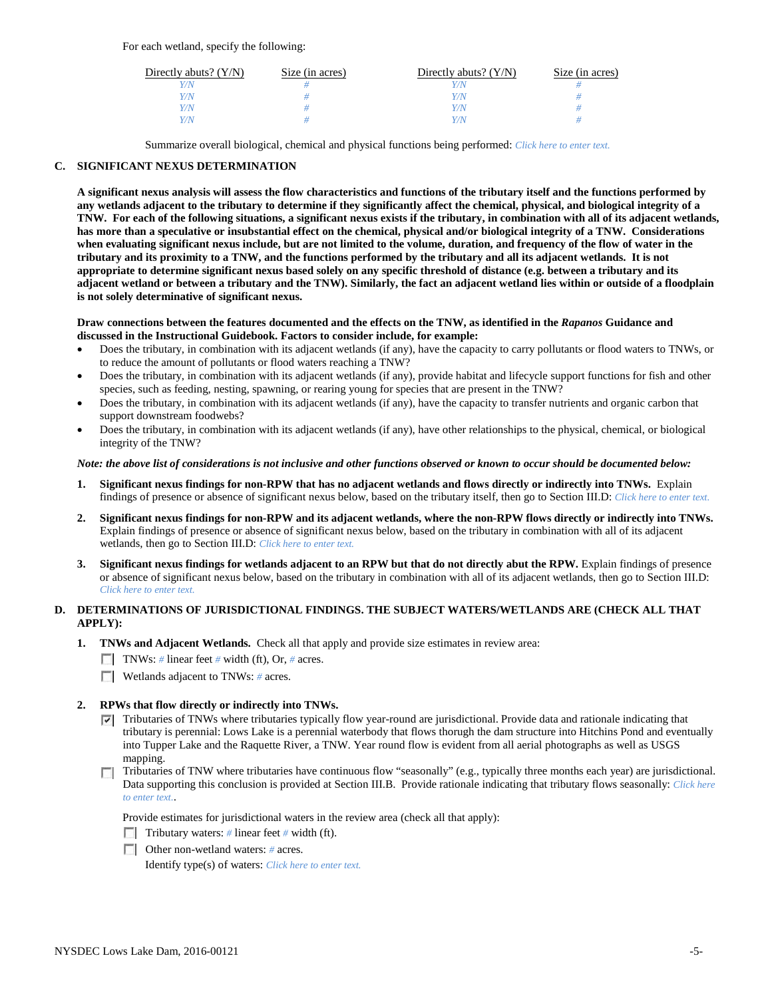For each wetland, specify the following:

| Directly abuts? $(Y/N)$ | Size (in acres) | Directly abuts? $(Y/N)$ | Size (in acres) |
|-------------------------|-----------------|-------------------------|-----------------|
| Y/N                     |                 |                         |                 |
| Y/N                     |                 | Y/N                     |                 |
| Y/N                     |                 | Y/N                     |                 |
| Y/N                     |                 | Y/N                     |                 |

Summarize overall biological, chemical and physical functions being performed: *Click here to enter text.*

## **C. SIGNIFICANT NEXUS DETERMINATION**

**A significant nexus analysis will assess the flow characteristics and functions of the tributary itself and the functions performed by any wetlands adjacent to the tributary to determine if they significantly affect the chemical, physical, and biological integrity of a TNW. For each of the following situations, a significant nexus exists if the tributary, in combination with all of its adjacent wetlands, has more than a speculative or insubstantial effect on the chemical, physical and/or biological integrity of a TNW. Considerations when evaluating significant nexus include, but are not limited to the volume, duration, and frequency of the flow of water in the tributary and its proximity to a TNW, and the functions performed by the tributary and all its adjacent wetlands. It is not appropriate to determine significant nexus based solely on any specific threshold of distance (e.g. between a tributary and its adjacent wetland or between a tributary and the TNW). Similarly, the fact an adjacent wetland lies within or outside of a floodplain is not solely determinative of significant nexus.** 

### **Draw connections between the features documented and the effects on the TNW, as identified in the** *Rapanos* **Guidance and discussed in the Instructional Guidebook. Factors to consider include, for example:**

- Does the tributary, in combination with its adjacent wetlands (if any), have the capacity to carry pollutants or flood waters to TNWs, or to reduce the amount of pollutants or flood waters reaching a TNW?
- Does the tributary, in combination with its adjacent wetlands (if any), provide habitat and lifecycle support functions for fish and other species, such as feeding, nesting, spawning, or rearing young for species that are present in the TNW?
- Does the tributary, in combination with its adjacent wetlands (if any), have the capacity to transfer nutrients and organic carbon that support downstream foodwebs?
- Does the tributary, in combination with its adjacent wetlands (if any), have other relationships to the physical, chemical, or biological integrity of the TNW?

### *Note: the above list of considerations is not inclusive and other functions observed or known to occur should be documented below:*

- **1. Significant nexus findings for non-RPW that has no adjacent wetlands and flows directly or indirectly into TNWs.** Explain findings of presence or absence of significant nexus below, based on the tributary itself, then go to Section III.D: *Click here to enter text.*
- **2. Significant nexus findings for non-RPW and its adjacent wetlands, where the non-RPW flows directly or indirectly into TNWs.**  Explain findings of presence or absence of significant nexus below, based on the tributary in combination with all of its adjacent wetlands, then go to Section III.D: *Click here to enter text.*
- **3. Significant nexus findings for wetlands adjacent to an RPW but that do not directly abut the RPW.** Explain findings of presence or absence of significant nexus below, based on the tributary in combination with all of its adjacent wetlands, then go to Section III.D: *Click here to enter text.*

# **D. DETERMINATIONS OF JURISDICTIONAL FINDINGS. THE SUBJECT WATERS/WETLANDS ARE (CHECK ALL THAT APPLY):**

- **1. TNWs and Adjacent Wetlands.** Check all that apply and provide size estimates in review area:
	- TNWs: *#* linear feet *#* width (ft), Or, *#* acres.
	- **Wetlands adjacent to TNWs: # acres.**

## **2. RPWs that flow directly or indirectly into TNWs.**

- $\nabla$  Tributaries of TNWs where tributaries typically flow year-round are jurisdictional. Provide data and rationale indicating that tributary is perennial: Lows Lake is a perennial waterbody that flows thorugh the dam structure into Hitchins Pond and eventually into Tupper Lake and the Raquette River, a TNW. Year round flow is evident from all aerial photographs as well as USGS mapping.
- Tributaries of TNW where tributaries have continuous flow "seasonally" (e.g., typically three months each year) are jurisdictional. Data supporting this conclusion is provided at Section III.B. Provide rationale indicating that tributary flows seasonally: *Click here to enter text.*.

Provide estimates for jurisdictional waters in the review area (check all that apply):

- Tributary waters: # linear feet # width (ft).
- Other non-wetland waters: *#* acres.

Identify type(s) of waters: *Click here to enter text.*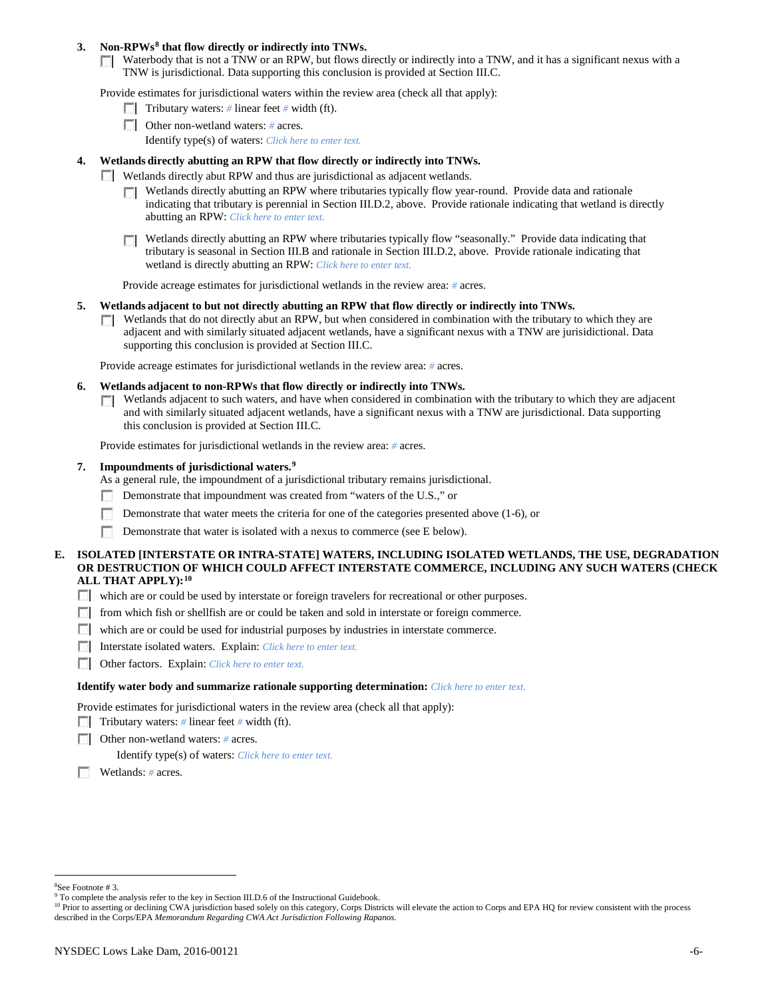### **3. Non-RPWs[8](#page-5-0) that flow directly or indirectly into TNWs.**

Waterbody that is not a TNW or an RPW, but flows directly or indirectly into a TNW, and it has a significant nexus with a TNW is jurisdictional. Data supporting this conclusion is provided at Section III.C.

Provide estimates for jurisdictional waters within the review area (check all that apply):

- **Tributary waters:** # linear feet # width (ft).
- Other non-wetland waters: *#* acres. Identify type(s) of waters: *Click here to enter text.*
- **4. Wetlands directly abutting an RPW that flow directly or indirectly into TNWs.**
	- **Wetlands directly abut RPW and thus are jurisdictional as adjacent wetlands.** 
		- $\Box$  Wetlands directly abutting an RPW where tributaries typically flow year-round. Provide data and rationale indicating that tributary is perennial in Section III.D.2, above. Provide rationale indicating that wetland is directly abutting an RPW: *Click here to enter text.*
		- Wetlands directly abutting an RPW where tributaries typically flow "seasonally." Provide data indicating that tributary is seasonal in Section III.B and rationale in Section III.D.2, above. Provide rationale indicating that wetland is directly abutting an RPW: *Click here to enter text.*

Provide acreage estimates for jurisdictional wetlands in the review area: *#* acres.

- **5. Wetlands adjacent to but not directly abutting an RPW that flow directly or indirectly into TNWs.**
	- $\Box$  Wetlands that do not directly abut an RPW, but when considered in combination with the tributary to which they are adjacent and with similarly situated adjacent wetlands, have a significant nexus with a TNW are jurisidictional. Data supporting this conclusion is provided at Section III.C.

Provide acreage estimates for jurisdictional wetlands in the review area: *#* acres.

- **6. Wetlands adjacent to non-RPWs that flow directly or indirectly into TNWs.** 
	- Wetlands adjacent to such waters, and have when considered in combination with the tributary to which they are adjacent Г. and with similarly situated adjacent wetlands, have a significant nexus with a TNW are jurisdictional. Data supporting this conclusion is provided at Section III.C.

Provide estimates for jurisdictional wetlands in the review area: *#* acres.

### **7. Impoundments of jurisdictional waters. [9](#page-5-1)**

As a general rule, the impoundment of a jurisdictional tributary remains jurisdictional.

- Demonstrate that impoundment was created from "waters of the U.S.," or
- Demonstrate that water meets the criteria for one of the categories presented above (1-6), or
- n Demonstrate that water is isolated with a nexus to commerce (see E below).
- **E. ISOLATED [INTERSTATE OR INTRA-STATE] WATERS, INCLUDING ISOLATED WETLANDS, THE USE, DEGRADATION OR DESTRUCTION OF WHICH COULD AFFECT INTERSTATE COMMERCE, INCLUDING ANY SUCH WATERS (CHECK ALL THAT APPLY):[10](#page-5-2)**
	- which are or could be used by interstate or foreign travelers for recreational or other purposes.
	- from which fish or shellfish are or could be taken and sold in interstate or foreign commerce.
	- which are or could be used for industrial purposes by industries in interstate commerce.
	- Interstate isolated waters.Explain: *Click here to enter text.*
	- Other factors.Explain: *Click here to enter text.*

#### **Identify water body and summarize rationale supporting determination:** *Click here to enter text.*

Provide estimates for jurisdictional waters in the review area (check all that apply):

- Tributary waters: # linear feet # width (ft).
- Other non-wetland waters: *#* acres.

Identify type(s) of waters: *Click here to enter text.*

Wetlands: *#* acres.

 $\frac{1}{8}$ See Footnote # 3.

<span id="page-5-1"></span><span id="page-5-0"></span><sup>&</sup>lt;sup>9</sup> To complete the analysis refer to the key in Section III.D.6 of the Instructional Guidebook.

<span id="page-5-2"></span><sup>&</sup>lt;sup>10</sup> Prior to asserting or declining CWA jurisdiction based solely on this category, Corps Districts will elevate the action to Corps and EPA HQ for review consistent with the process described in the Corps/EPA *Memorandum Regarding CWA Act Jurisdiction Following Rapanos.*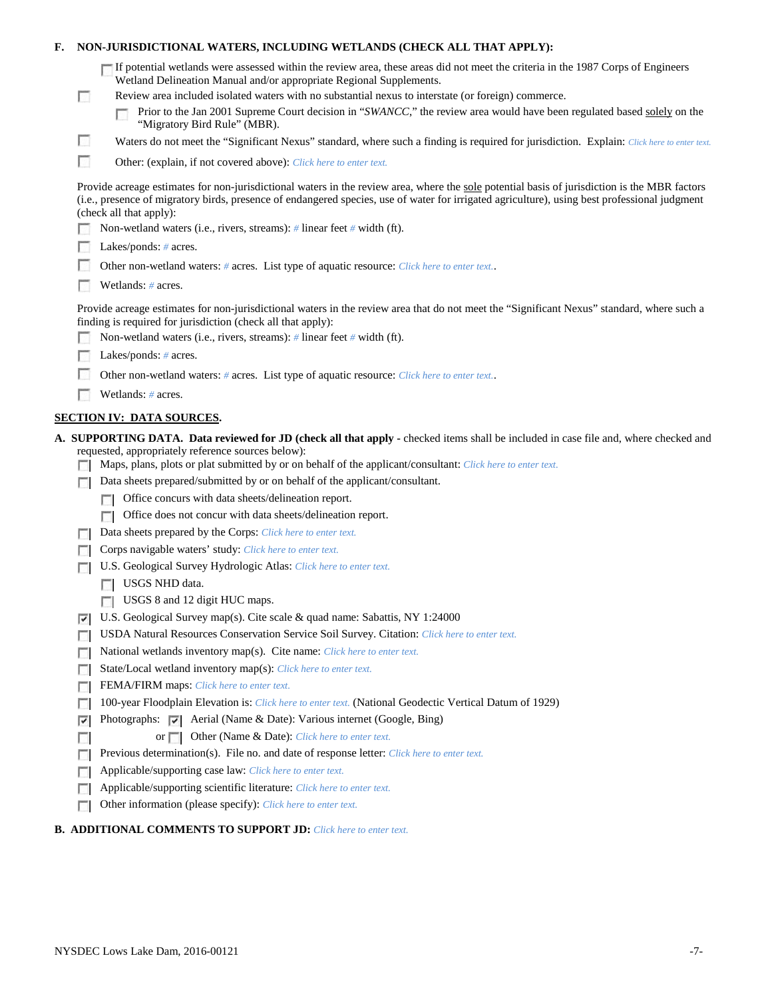| F. |        | NON-JURISDICTIONAL WATERS, INCLUDING WETLANDS (CHECK ALL THAT APPLY):                                                                                                                                                                                                                                                                                                                                                                                                     |
|----|--------|---------------------------------------------------------------------------------------------------------------------------------------------------------------------------------------------------------------------------------------------------------------------------------------------------------------------------------------------------------------------------------------------------------------------------------------------------------------------------|
|    | $\Box$ | If potential wetlands were assessed within the review area, these areas did not meet the criteria in the 1987 Corps of Engineers<br>Wetland Delineation Manual and/or appropriate Regional Supplements.<br>Review area included isolated waters with no substantial nexus to interstate (or foreign) commerce.<br>Prior to the Jan 2001 Supreme Court decision in "SWANCC," the review area would have been regulated based solely on the<br>"Migratory Bird Rule" (MBR). |
|    | n      | Waters do not meet the "Significant Nexus" standard, where such a finding is required for jurisdiction. Explain: Click here to enter text.                                                                                                                                                                                                                                                                                                                                |
|    | п      | Other: (explain, if not covered above): Click here to enter text.                                                                                                                                                                                                                                                                                                                                                                                                         |
|    |        | Provide acreage estimates for non-jurisdictional waters in the review area, where the sole potential basis of jurisdiction is the MBR factors<br>(i.e., presence of migratory birds, presence of endangered species, use of water for irrigated agriculture), using best professional judgment<br>(check all that apply):                                                                                                                                                 |
|    |        | Non-wetland waters (i.e., rivers, streams): # linear feet # width (ft).                                                                                                                                                                                                                                                                                                                                                                                                   |
|    |        | Lakes/ponds: $# \, \text{acres.}$                                                                                                                                                                                                                                                                                                                                                                                                                                         |
|    |        | Other non-wetland waters: # acres. List type of aquatic resource: Click here to enter text                                                                                                                                                                                                                                                                                                                                                                                |
|    |        | Wetlands: # acres.                                                                                                                                                                                                                                                                                                                                                                                                                                                        |
|    |        | Provide acreage estimates for non-jurisdictional waters in the review area that do not meet the "Significant Nexus" standard, where such a<br>finding is required for jurisdiction (check all that apply):                                                                                                                                                                                                                                                                |
|    |        | Non-wetland waters (i.e., rivers, streams): $\#$ linear feet $\#$ width (ft).                                                                                                                                                                                                                                                                                                                                                                                             |
|    |        | Lakes/ponds: $# \, \text{acres.}$                                                                                                                                                                                                                                                                                                                                                                                                                                         |
|    |        | Other non-wetland waters: # acres. List type of aquatic resource: Click here to enter text                                                                                                                                                                                                                                                                                                                                                                                |
|    |        | Wetlands: # acres.                                                                                                                                                                                                                                                                                                                                                                                                                                                        |
|    |        | <b>SECTION IV: DATA SOURCES.</b>                                                                                                                                                                                                                                                                                                                                                                                                                                          |
|    |        | A. SUPPORTING DATA. Data reviewed for JD (check all that apply - checked items shall be included in case file and, where checked and<br>requested, appropriately reference sources below):<br>Maps, plans, plots or plat submitted by or on behalf of the applicant/consultant: Click here to enter text.                                                                                                                                                                 |
|    |        | Data sheets prepared/submitted by or on behalf of the applicant/consultant.                                                                                                                                                                                                                                                                                                                                                                                               |
|    |        | Office concurs with data sheets/delineation report.                                                                                                                                                                                                                                                                                                                                                                                                                       |
|    |        | Office does not concur with data sheets/delineation report.                                                                                                                                                                                                                                                                                                                                                                                                               |
|    |        | Data sheets prepared by the Corps: Click here to enter text.                                                                                                                                                                                                                                                                                                                                                                                                              |
|    |        | Corps navigable waters' study: Click here to enter text.                                                                                                                                                                                                                                                                                                                                                                                                                  |
|    |        | U.S. Geological Survey Hydrologic Atlas: Click here to enter text.                                                                                                                                                                                                                                                                                                                                                                                                        |
|    |        | USGS NHD data.                                                                                                                                                                                                                                                                                                                                                                                                                                                            |
|    |        | USGS 8 and 12 digit HUC maps.                                                                                                                                                                                                                                                                                                                                                                                                                                             |
|    | ⊽      | U.S. Geological Survey map(s). Cite scale & quad name: Sabattis, NY 1:24000                                                                                                                                                                                                                                                                                                                                                                                               |
|    |        | USDA Natural Resources Conservation Service Soil Survey. Citation: Click here to enter text.                                                                                                                                                                                                                                                                                                                                                                              |
|    | г      | National wetlands inventory map(s). Cite name: Click here to enter text.                                                                                                                                                                                                                                                                                                                                                                                                  |
|    | г      | State/Local wetland inventory map(s): Click here to enter text.                                                                                                                                                                                                                                                                                                                                                                                                           |
|    | п      | FEMA/FIRM maps: Click here to enter text.                                                                                                                                                                                                                                                                                                                                                                                                                                 |
|    |        | 100-year Floodplain Elevation is: Click here to enter text. (National Geodectic Vertical Datum of 1929)                                                                                                                                                                                                                                                                                                                                                                   |
|    | ⊽      | Photographs: $\overline{\smile}$ Aerial (Name & Date): Various internet (Google, Bing)                                                                                                                                                                                                                                                                                                                                                                                    |
|    |        | Other (Name & Date): Click here to enter text.<br>or $\Box$                                                                                                                                                                                                                                                                                                                                                                                                               |
|    |        | Previous determination(s). File no. and date of response letter: Click here to enter text.                                                                                                                                                                                                                                                                                                                                                                                |
|    | п      |                                                                                                                                                                                                                                                                                                                                                                                                                                                                           |
|    |        | Applicable/supporting case law: Click here to enter text.                                                                                                                                                                                                                                                                                                                                                                                                                 |
|    | г<br>E | Applicable/supporting scientific literature: Click here to enter text.<br>Other information (please specify): Click here to enter text.                                                                                                                                                                                                                                                                                                                                   |

# **B. ADDITIONAL COMMENTS TO SUPPORT JD:** *Click here to enter text.*